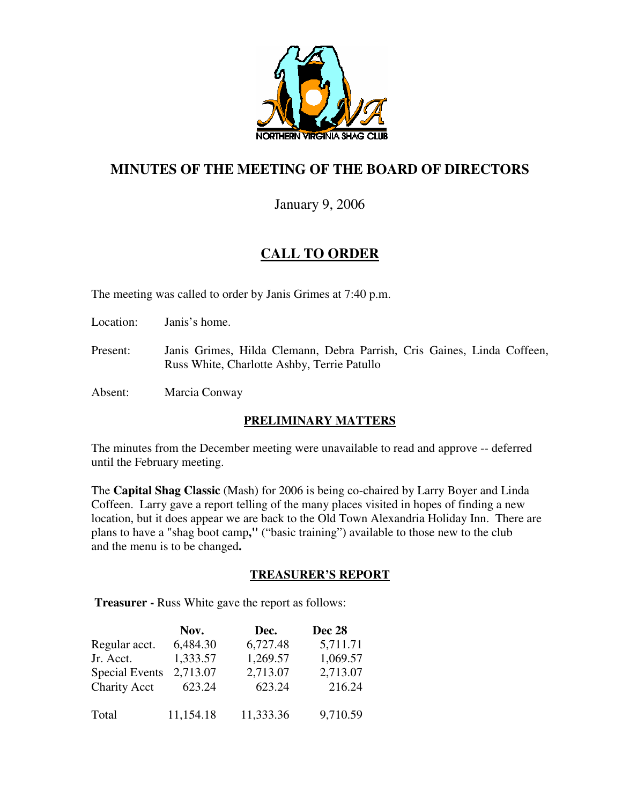

## **MINUTES OF THE MEETING OF THE BOARD OF DIRECTORS**

January 9, 2006

# **CALL TO ORDER**

The meeting was called to order by Janis Grimes at 7:40 p.m.

Location: Janis's home.

- Present: Janis Grimes, Hilda Clemann, Debra Parrish, Cris Gaines, Linda Coffeen, Russ White, Charlotte Ashby, Terrie Patullo
- Absent: Marcia Conway

## **PRELIMINARY MATTERS**

The minutes from the December meeting were unavailable to read and approve -- deferred until the February meeting.

The **Capital Shag Classic** (Mash) for 2006 is being co-chaired by Larry Boyer and Linda Coffeen. Larry gave a report telling of the many places visited in hopes of finding a new location, but it does appear we are back to the Old Town Alexandria Holiday Inn. There are plans to have a "shag boot camp**,"** ("basic training") available to those new to the club and the menu is to be changed**.** 

## **TREASURER'S REPORT**

**Treasurer -** Russ White gave the report as follows:

|                       | Nov.      | Dec.      | <b>Dec 28</b> |
|-----------------------|-----------|-----------|---------------|
| Regular acct.         | 6,484.30  | 6,727.48  | 5,711.71      |
| Jr. Acct.             | 1,333.57  | 1,269.57  | 1,069.57      |
| <b>Special Events</b> | 2,713.07  | 2,713.07  | 2,713.07      |
| <b>Charity Acct</b>   | 623.24    | 623.24    | 216.24        |
| Total                 | 11,154.18 | 11,333.36 | 9,710.59      |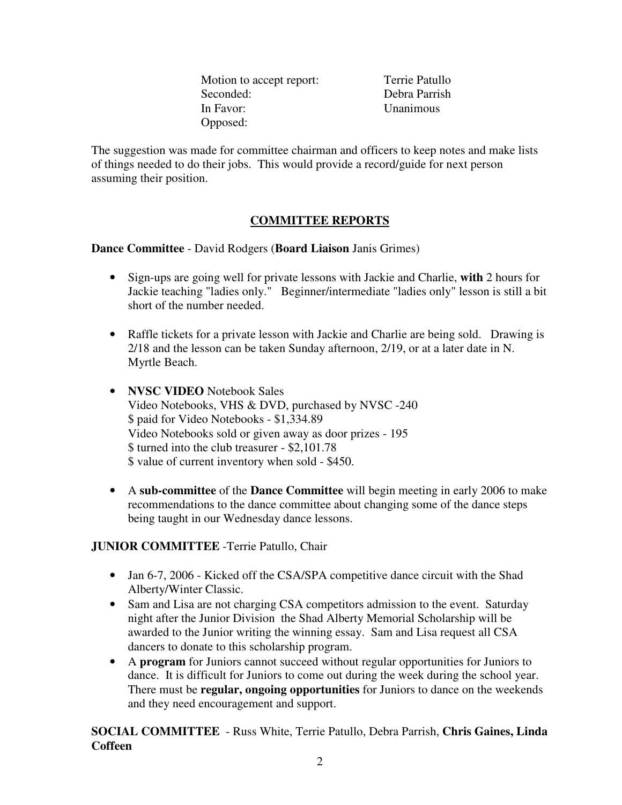Motion to accept report: Terrie Patullo Seconded: Debra Parrish In Favor: Unanimous Opposed:

The suggestion was made for committee chairman and officers to keep notes and make lists of things needed to do their jobs. This would provide a record/guide for next person assuming their position.

## **COMMITTEE REPORTS**

**Dance Committee** - David Rodgers (**Board Liaison** Janis Grimes)

- Sign-ups are going well for private lessons with Jackie and Charlie, **with** 2 hours for Jackie teaching "ladies only." Beginner/intermediate "ladies only" lesson is still a bit short of the number needed.
- Raffle tickets for a private lesson with Jackie and Charlie are being sold. Drawing is 2/18 and the lesson can be taken Sunday afternoon, 2/19, or at a later date in N. Myrtle Beach.
- **NVSC VIDEO** Notebook Sales Video Notebooks, VHS & DVD, purchased by NVSC -240 \$ paid for Video Notebooks - \$1,334.89 Video Notebooks sold or given away as door prizes - 195 \$ turned into the club treasurer - \$2,101.78 \$ value of current inventory when sold - \$450.
- A **sub-committee** of the **Dance Committee** will begin meeting in early 2006 to make recommendations to the dance committee about changing some of the dance steps being taught in our Wednesday dance lessons.

**JUNIOR COMMITTEE** -Terrie Patullo, Chair

- Jan 6-7, 2006 Kicked off the CSA/SPA competitive dance circuit with the Shad Alberty/Winter Classic.
- Sam and Lisa are not charging CSA competitors admission to the event. Saturday night after the Junior Division the Shad Alberty Memorial Scholarship will be awarded to the Junior writing the winning essay. Sam and Lisa request all CSA dancers to donate to this scholarship program.
- A **program** for Juniors cannot succeed without regular opportunities for Juniors to dance. It is difficult for Juniors to come out during the week during the school year. There must be **regular, ongoing opportunities** for Juniors to dance on the weekends and they need encouragement and support.

**SOCIAL COMMITTEE** - Russ White, Terrie Patullo, Debra Parrish, **Chris Gaines, Linda Coffeen**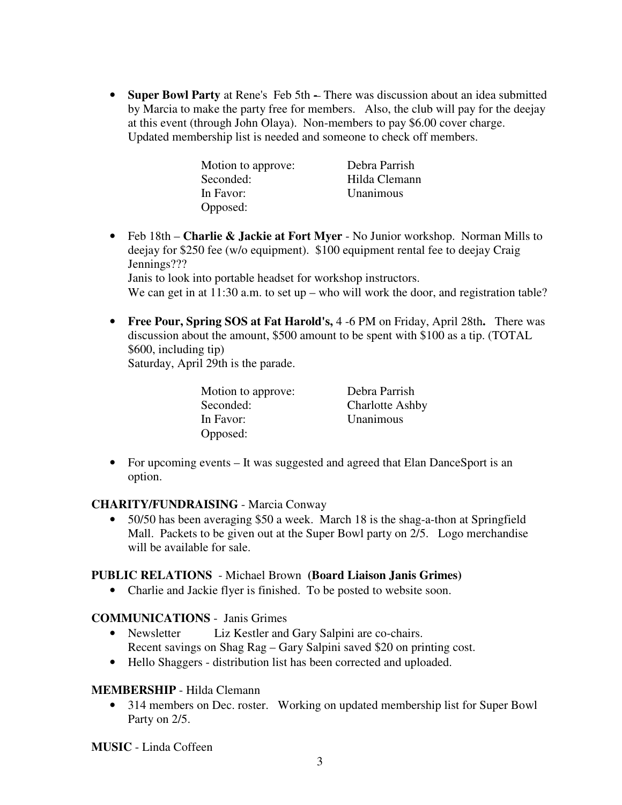• **Super Bowl Party** at Rene's Feb 5th **-** There was discussion about an idea submitted by Marcia to make the party free for members. Also, the club will pay for the deejay at this event (through John Olaya).Non-members to pay \$6.00 cover charge. Updated membership list is needed and someone to check off members.

| Motion to approve: | Debra Parrish |
|--------------------|---------------|
| Seconded:          | Hilda Clemann |
| In Favor:          | Unanimous     |
| Opposed:           |               |

• Feb 18th – **Charlie & Jackie at Fort Myer** - No Junior workshop. Norman Mills to deejay for \$250 fee (w/o equipment). \$100 equipment rental fee to deejay Craig Jennings???

Janis to look into portable headset for workshop instructors.

We can get in at 11:30 a.m. to set up – who will work the door, and registration table?

• **Free Pour, Spring SOS at Fat Harold's,** 4 -6 PM on Friday, April 28th**.** There was discussion about the amount, \$500 amount to be spent with \$100 as a tip. (TOTAL \$600, including tip)

Saturday, April 29th is the parade.

| Motion to approve: | Debra Parrish          |
|--------------------|------------------------|
| Seconded:          | <b>Charlotte Ashby</b> |
| In Favor:          | Unanimous              |
| Opposed:           |                        |

• For upcoming events – It was suggested and agreed that Elan DanceSport is an option.

## **CHARITY/FUNDRAISING** - Marcia Conway

• 50/50 has been averaging \$50 a week. March 18 is the shag-a-thon at Springfield Mall. Packets to be given out at the Super Bowl party on 2/5. Logo merchandise will be available for sale.

## **PUBLIC RELATIONS** - Michael Brown **(Board Liaison Janis Grimes)**

• Charlie and Jackie flyer is finished. To be posted to website soon.

## **COMMUNICATIONS** - Janis Grimes

- Newsletter Liz Kestler and Gary Salpini are co-chairs. Recent savings on Shag Rag – Gary Salpini saved \$20 on printing cost.
- Hello Shaggers distribution list has been corrected and uploaded.

## **MEMBERSHIP** - Hilda Clemann

• 314 members on Dec. roster. Working on updated membership list for Super Bowl Party on 2/5.

**MUSIC** - Linda Coffeen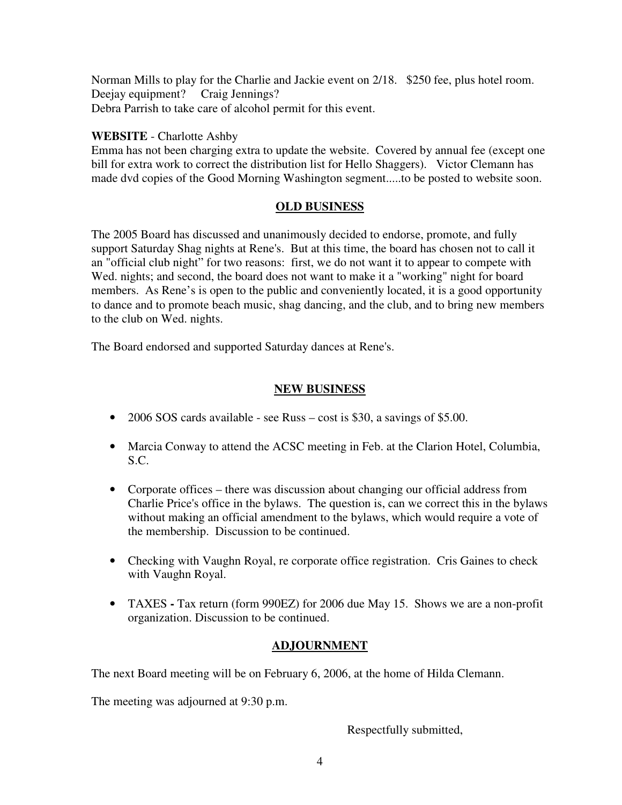Norman Mills to play for the Charlie and Jackie event on 2/18. \$250 fee, plus hotel room. Deejay equipment? Craig Jennings? Debra Parrish to take care of alcohol permit for this event.

## **WEBSITE** - Charlotte Ashby

Emma has not been charging extra to update the website. Covered by annual fee (except one bill for extra work to correct the distribution list for Hello Shaggers). Victor Clemann has made dvd copies of the Good Morning Washington segment.....to be posted to website soon.

## **OLD BUSINESS**

The 2005 Board has discussed and unanimously decided to endorse, promote, and fully support Saturday Shag nights at Rene's. But at this time, the board has chosen not to call it an "official club night" for two reasons: first, we do not want it to appear to compete with Wed. nights; and second, the board does not want to make it a "working" night for board members. As Rene's is open to the public and conveniently located, it is a good opportunity to dance and to promote beach music, shag dancing, and the club, and to bring new members to the club on Wed. nights.

The Board endorsed and supported Saturday dances at Rene's.

## **NEW BUSINESS**

- 2006 SOS cards available see Russ cost is \$30, a savings of \$5.00.
- Marcia Conway to attend the ACSC meeting in Feb. at the Clarion Hotel, Columbia, S.C.
- Corporate offices there was discussion about changing our official address from Charlie Price's office in the bylaws. The question is, can we correct this in the bylaws without making an official amendment to the bylaws, which would require a vote of the membership.Discussion to be continued.
- Checking with Vaughn Royal, re corporate office registration. Cris Gaines to check with Vaughn Royal.
- TAXESTax return (form 990EZ) for 2006 due May 15. Shows we are a non-profit organization. Discussion to be continued.

## **ADJOURNMENT**

The next Board meeting will be on February 6, 2006, at the home of Hilda Clemann.

The meeting was adjourned at 9:30 p.m.

Respectfully submitted,